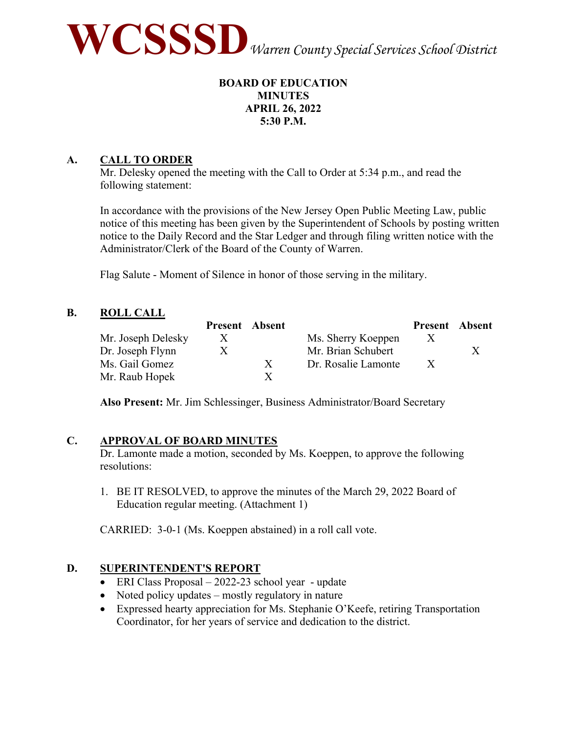

### **BOARD OF EDUCATION MINUTES APRIL 26, 2022 5:30 P.M.**

### **A. CALL TO ORDER**

Mr. Delesky opened the meeting with the Call to Order at 5:34 p.m., and read the following statement:

In accordance with the provisions of the New Jersey Open Public Meeting Law, public notice of this meeting has been given by the Superintendent of Schools by posting written notice to the Daily Record and the Star Ledger and through filing written notice with the Administrator/Clerk of the Board of the County of Warren.

Flag Salute - Moment of Silence in honor of those serving in the military.

### **B. ROLL CALL**

|                    | <b>Present</b> Absent |              |                     | <b>Present</b> Absent |  |
|--------------------|-----------------------|--------------|---------------------|-----------------------|--|
| Mr. Joseph Delesky | X                     |              | Ms. Sherry Koeppen  |                       |  |
| Dr. Joseph Flynn   | X                     |              | Mr. Brian Schubert  |                       |  |
| Ms. Gail Gomez     |                       | $\mathbf{X}$ | Dr. Rosalie Lamonte | $\mathbf{X}$          |  |
| Mr. Raub Hopek     |                       |              |                     |                       |  |

**Also Present:** Mr. Jim Schlessinger, Business Administrator/Board Secretary

### **C. APPROVAL OF BOARD MINUTES**

Dr. Lamonte made a motion, seconded by Ms. Koeppen, to approve the following resolutions:

1. BE IT RESOLVED, to approve the minutes of the March 29, 2022 Board of Education regular meeting. (Attachment 1)

CARRIED: 3-0-1 (Ms. Koeppen abstained) in a roll call vote.

### **D. SUPERINTENDENT'S REPORT**

- ERI Class Proposal 2022-23 school year update
- Noted policy updates mostly regulatory in nature
- Expressed hearty appreciation for Ms. Stephanie O'Keefe, retiring Transportation Coordinator, for her years of service and dedication to the district.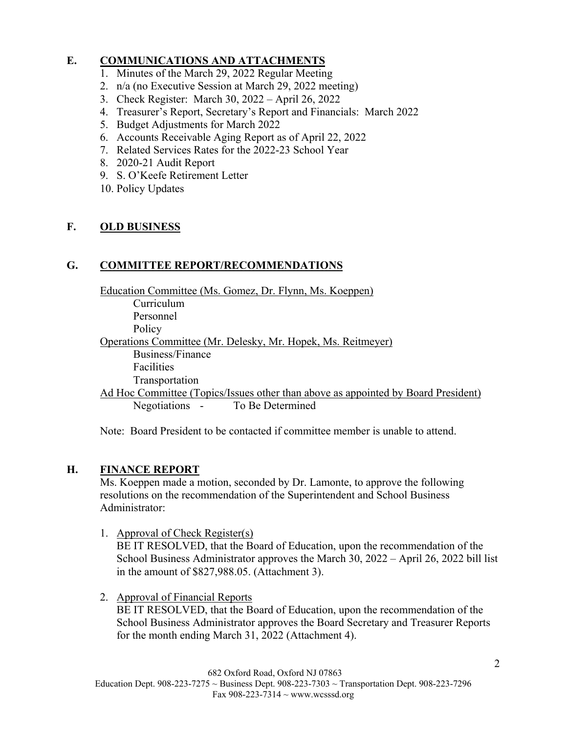# **E. COMMUNICATIONS AND ATTACHMENTS**

- 1. Minutes of the March 29, 2022 Regular Meeting
- 2. n/a (no Executive Session at March 29, 2022 meeting)
- 3. Check Register: March 30, 2022 April 26, 2022
- 4. Treasurer's Report, Secretary's Report and Financials: March 2022
- 5. Budget Adjustments for March 2022
- 6. Accounts Receivable Aging Report as of April 22, 2022
- 7. Related Services Rates for the 2022-23 School Year
- 8. 2020-21 Audit Report
- 9. S. O'Keefe Retirement Letter
- 10. Policy Updates

### **F. OLD BUSINESS**

## **G. COMMITTEE REPORT/RECOMMENDATIONS**

Education Committee (Ms. Gomez, Dr. Flynn, Ms. Koeppen) Curriculum Personnel Policy Operations Committee (Mr. Delesky, Mr. Hopek, Ms. Reitmeyer) Business/Finance Facilities Transportation Ad Hoc Committee (Topics/Issues other than above as appointed by Board President) Negotiations - To Be Determined

Note: Board President to be contacted if committee member is unable to attend.

### **H. FINANCE REPORT**

Ms. Koeppen made a motion, seconded by Dr. Lamonte, to approve the following resolutions on the recommendation of the Superintendent and School Business Administrator:

- 1. Approval of Check Register(s) BE IT RESOLVED, that the Board of Education, upon the recommendation of the School Business Administrator approves the March 30, 2022 – April 26, 2022 bill list in the amount of \$827,988.05. (Attachment 3).
- 2. Approval of Financial Reports

BE IT RESOLVED, that the Board of Education, upon the recommendation of the School Business Administrator approves the Board Secretary and Treasurer Reports for the month ending March 31, 2022 (Attachment 4).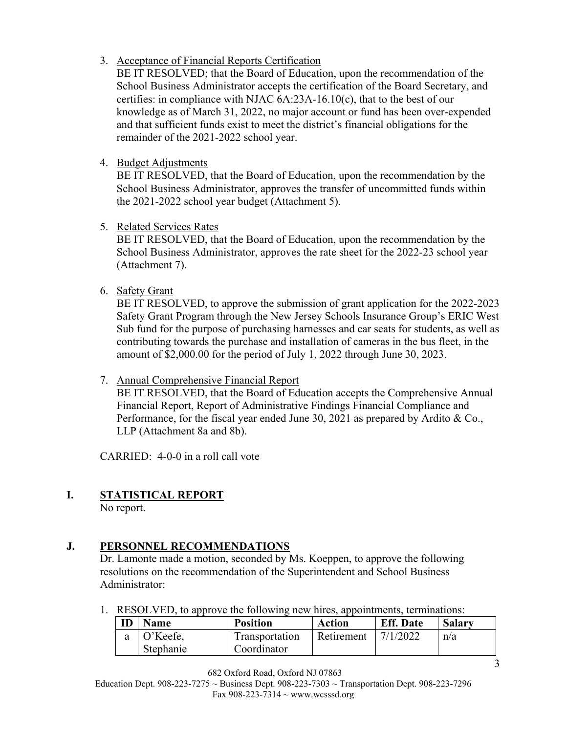### 3. Acceptance of Financial Reports Certification

BE IT RESOLVED; that the Board of Education, upon the recommendation of the School Business Administrator accepts the certification of the Board Secretary, and certifies: in compliance with NJAC 6A:23A-16.10(c), that to the best of our knowledge as of March 31, 2022, no major account or fund has been over-expended and that sufficient funds exist to meet the district's financial obligations for the remainder of the 2021-2022 school year.

### 4. Budget Adjustments

BE IT RESOLVED, that the Board of Education, upon the recommendation by the School Business Administrator, approves the transfer of uncommitted funds within the 2021-2022 school year budget (Attachment 5).

### 5. Related Services Rates

BE IT RESOLVED, that the Board of Education, upon the recommendation by the School Business Administrator, approves the rate sheet for the 2022-23 school year (Attachment 7).

6. Safety Grant

BE IT RESOLVED, to approve the submission of grant application for the 2022-2023 Safety Grant Program through the New Jersey Schools Insurance Group's ERIC West Sub fund for the purpose of purchasing harnesses and car seats for students, as well as contributing towards the purchase and installation of cameras in the bus fleet, in the amount of \$2,000.00 for the period of July 1, 2022 through June 30, 2023.

### 7. Annual Comprehensive Financial Report

BE IT RESOLVED, that the Board of Education accepts the Comprehensive Annual Financial Report, Report of Administrative Findings Financial Compliance and Performance, for the fiscal year ended June 30, 2021 as prepared by Ardito & Co., LLP (Attachment 8a and 8b).

CARRIED: 4-0-0 in a roll call vote

# **I. STATISTICAL REPORT**

No report.

# **J. PERSONNEL RECOMMENDATIONS**

Dr. Lamonte made a motion, seconded by Ms. Koeppen, to approve the following resolutions on the recommendation of the Superintendent and School Business Administrator:

1. RESOLVED, to approve the following new hires, appointments, terminations:

| ID | <b>Name</b>            | <b>Position</b>       | Action     | <b>Eff.</b> Date | <b>Salary</b> |
|----|------------------------|-----------------------|------------|------------------|---------------|
| a. | $\overline{O'}$ Keefe, | <b>Transportation</b> | Retirement | 7/1/2022         | n/a           |
|    | Stephanie              | Coordinator           |            |                  |               |

682 Oxford Road, Oxford NJ 07863

Education Dept. 908-223-7275  $\sim$  Business Dept. 908-223-7303  $\sim$  Transportation Dept. 908-223-7296 Fax 908-223-7314  $\sim$  www.wcsssd.org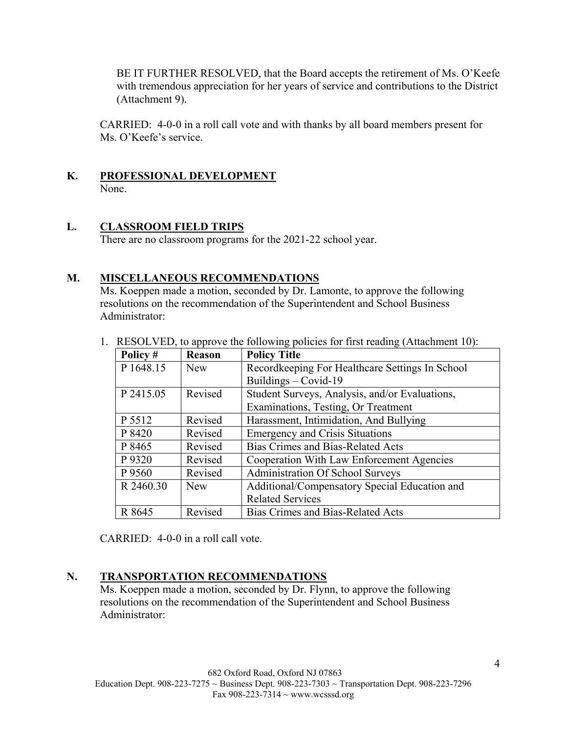BE IT FURTHER RESOLVED, that the Board accepts the retirement of Ms. O'Keefe with tremendous appreciation for her years of service and contributions to the District (Attachment 9).

CARRIED: 4-0-0 in a roll call vote and with thanks by all board members present for Ms. O'Keefe's service.

# **K. PROFESSIONAL DEVELOPMENT**

None.

### **L. CLASSROOM FIELD TRIPS**

There are no classroom programs for the 2021-22 school year.

## **M. MISCELLANEOUS RECOMMENDATIONS**

Ms. Koeppen made a motion, seconded by Dr. Lamonte, to approve the following resolutions on the recommendation of the Superintendent and School Business Administrator:

| Policy #  | <b>Reason</b> | <b>Policy Title</b>                             |
|-----------|---------------|-------------------------------------------------|
| P 1648.15 | <b>New</b>    | Recordkeeping For Healthcare Settings In School |
|           |               | Buildings – Covid-19                            |
| P 2415.05 | Revised       | Student Surveys, Analysis, and/or Evaluations,  |
|           |               | Examinations, Testing, Or Treatment             |
| P 5512    | Revised       | Harassment, Intimidation, And Bullying          |
| P 8420    | Revised       | <b>Emergency and Crisis Situations</b>          |
| P 8465    | Revised       | <b>Bias Crimes and Bias-Related Acts</b>        |
| P 9320    | Revised       | Cooperation With Law Enforcement Agencies       |
| P 9560    | Revised       | Administration Of School Surveys                |
| R 2460.30 | <b>New</b>    | Additional/Compensatory Special Education and   |
|           |               | <b>Related Services</b>                         |
| R 8645    | Revised       | <b>Bias Crimes and Bias-Related Acts</b>        |

1. RESOLVED, to approve the following policies for first reading (Attachment 10):

CARRIED: 4-0-0 in a roll call vote.

# **N. TRANSPORTATION RECOMMENDATIONS**

Ms. Koeppen made a motion, seconded by Dr. Flynn, to approve the following resolutions on the recommendation of the Superintendent and School Business Administrator: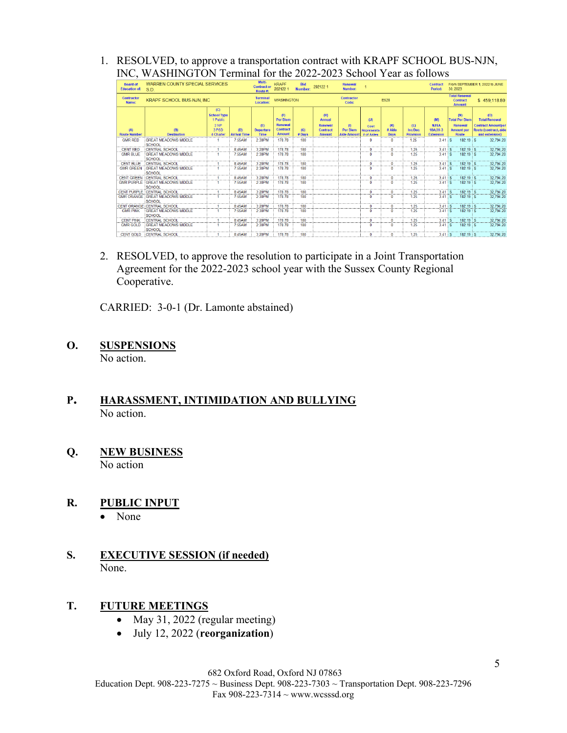1. RESOLVED, to approve a transportation contract with KRAPF SCHOOL BUS-NJN, INC, WASHINGTON Terminal for the 2022-2023 School Year as follows

| <b>Board of</b><br><b>Education of:</b> | <b>WARREN COUNTY SPECIAL SERVICES</b><br><b>SD</b> |                                       |                            | Multi-<br><b>Contract or</b><br>Route #: | <b>KRAPF</b><br>2021221 | <b>Bid</b><br><b>Number:</b> | 2021221                          | Renewal<br>Number:                    |                                 |                       |                       | Contract<br>Period:     | 30.2023                                                   | From SEPTEMBER 1, 2022 to JUNE          |
|-----------------------------------------|----------------------------------------------------|---------------------------------------|----------------------------|------------------------------------------|-------------------------|------------------------------|----------------------------------|---------------------------------------|---------------------------------|-----------------------|-----------------------|-------------------------|-----------------------------------------------------------|-----------------------------------------|
| <b>Contractor</b><br>Name:              | <b>KRAPF SCHOOL BUS-NJN, INC</b>                   |                                       |                            | <b>Terminal</b><br><b>Location:</b>      | <b>WASHINGTON</b>       |                              |                                  | <b>Contractor</b><br>Code:            |                                 | E528                  |                       |                         | <b>Total Renewal</b><br><b>Contract</b><br><b>Amount:</b> | \$459,118.80                            |
|                                         |                                                    | (C)<br><b>School Type</b><br>1 Public |                            |                                          | (F)<br><b>Per Diem</b>  |                              | (H)<br><b>Annual</b>             |                                       | (J)                             |                       |                       | (M)                     | (N)<br><b>Total Per Diem</b>                              | (0)<br><b>Total Renewal</b>             |
|                                         |                                                    | 2 NP<br>3 PSD                         |                            | (E)                                      | Renewal<br>Contract     |                              | <b>Renewal</b>                   | (1)                                   | Cost                            | (K)                   | (L)<br><b>Inc/Dec</b> | <b>NJSA</b><br>18A:39-3 | Renewal                                                   | <b>Contract Amountper</b>               |
| (A)<br><b>Route Number</b>              | (B)<br><b>Destination</b>                          | 4 Charter                             | (D)<br><b>Arrival Time</b> | <b>Departure</b><br>Time                 | <b>Amount</b>           | (G)<br># Davs                | <b>Contract</b><br><b>Amount</b> | <b>Per Diem</b><br><b>Aide Amount</b> | <b>Represents</b><br># of Aides | # Aide<br><b>Days</b> | <b>Provision</b>      | <b>Extension</b>        | <b>Amount per</b><br><b>Route</b>                         | Route (contract, aide<br>and extension) |
| <b>GMR RED</b>                          | <b>GREAT MEADOWS MIDDLE</b><br>SCHOOL              |                                       | 7:55AM                     | 2:30PM                                   | 178.78                  | 180                          |                                  |                                       | $\Omega$                        | n                     | 1.25                  | $3.41$ $S$              | $182.19$ S                                                | 32.794.20                               |
| <b>CENT RED</b>                         | <b>CENTRAL SCHOOL</b>                              |                                       | 8:45AM                     | 3:20PM                                   | 178.78                  | 180                          |                                  |                                       | $\Omega$                        | $\mathbf{0}$          | 1.25                  | $3.41$ $S$              | $182.19$ S                                                | 32.794.20                               |
| <b>GMR BLUE</b>                         | <b>GREAT MEADOWS MIDDLE</b><br><b>SCHOOL</b>       |                                       | 7:55AM                     | 2:30PM                                   | 178.78                  | 180                          |                                  |                                       | $\mathbf{0}$                    | $\mathbf{0}$          | 1.25                  | $3.41:$ S               | $182.19:$ S                                               | 32.794.20                               |
| <b>CENT BLUE</b>                        | <b>CENTRAL SCHOOL</b>                              |                                       | 8:45AM                     | 3:20PM                                   | 178.78                  | 180                          |                                  |                                       | $\Omega$                        | $\mathbf{0}$          | 1.25                  | $3.41$ $S$              | 182.19 S                                                  | 32.794.20                               |
| <b>GMR GREEN</b>                        | <b>GREAT MEADOWS MIDDLE</b><br><b>SCHOOL</b>       |                                       | 7:55AM                     | 2:30PM                                   | 178.78                  | 180                          |                                  |                                       | $\Omega$                        | $\mathbf{0}$          | 1.25                  | $3.41$ $S$              | $182.19$ S                                                | 32,794.20                               |
| <b>CENT GREEN</b>                       | <b>CENTRAL SCHOOL</b>                              |                                       | 8:45AM                     | 3:20PM                                   | 178.78                  | 180                          |                                  |                                       | $\mathbf{0}$                    | $\mathbf{r}$          | 1.25                  | $3.41:$ S               | 182.19 S                                                  | 32.794.20                               |
|                                         | <b>GMR PURPLE GREAT MEADOWS MIDDLE</b><br>SCHOOL   |                                       | 7:55AM                     | 2:30PM                                   | 178.78                  | 180                          |                                  |                                       | $\mathbf{0}$                    | n                     | 1.25                  | $3.41:$ S               | $182.19$ S                                                | 32.794.20                               |
|                                         | CENT PURPLE CENTRAL SCHOOL                         |                                       | 8:45AM                     | 3:20PM                                   | 178.78                  | 180                          |                                  |                                       | $\mathbf{0}$                    | $\mathbf{0}$          | 1.25                  | 3.41:                   | $182.19$ S                                                | 32.794.20                               |
|                                         | <b>GMR ORANGE GREAT MEADOWS MIDDLE</b><br>SCHOOL   |                                       | 7:55AM                     | 2:30PM                                   | 178.78                  | 180                          |                                  |                                       | $\theta$                        | 0                     | 1.25                  | 3.41S                   | $182.19$ S                                                | 32.794.20                               |
|                                         | CENT ORANGE CENTRAL SCHOOL                         |                                       | 8:45AM                     | 3:20PM                                   | 178.78                  | 180                          |                                  |                                       | $\mathbf{0}$                    | $\mathbf{0}$          | 1.25                  | $3.41$ S                | $182.19$ S                                                | 32.794.20                               |
| <b>GMR PINK</b>                         | <b>GREAT MEADOWS MIDDLE</b><br>SCHOOL              |                                       | 7:55AM                     | 2:30PM                                   | 178.78                  | 180                          |                                  |                                       | $\theta$                        | $\mathbf{0}$          | 1.25                  | $3.41:$ S               | 182.19 S                                                  | 32.794.20                               |
| <b>CENT PINK</b>                        | <b>CENTRAL SCHOOL</b>                              |                                       | 8:45AM                     | 3:20PM                                   | 178.78                  | 180                          |                                  |                                       | $\Omega$                        | 0                     | 1.25                  | 3.41S                   | 182.19 S                                                  | 32.794.20                               |
| <b>GMR GOLD</b>                         | <b>GREAT MEADOWS MIDDLE</b><br><b>SCHOOL</b>       |                                       | 7:55AM                     | 2:30PM                                   | 178 78                  | 180                          |                                  |                                       | $\theta$                        | $\mathbf{0}$          | 1.25                  | $3.41:$ S               | $18219$ S                                                 | 32.794.20                               |
| CENT GOLD                               | <b>CENTRAL SCHOOL</b>                              |                                       | 8:45AM                     | 3:20PM                                   | 178.78                  | 180                          |                                  |                                       | $\theta$                        | $\mathbf{0}$          | 1.25                  | $3.41:$ S               | 182.19 S                                                  | 32.794.20                               |

2. RESOLVED, to approve the resolution to participate in a Joint Transportation Agreement for the 2022-2023 school year with the Sussex County Regional Cooperative.

CARRIED: 3-0-1 (Dr. Lamonte abstained)

### **O. SUSPENSIONS**

No action.

### **P. HARASSMENT, INTIMIDATION AND BULLYING**  No action.

**Q. NEW BUSINESS**  No action

# **R. PUBLIC INPUT**

• None

**S. EXECUTIVE SESSION (if needed)**  None.

### **T. FUTURE MEETINGS**

- May 31, 2022 (regular meeting)
- July 12, 2022 (**reorganization**)